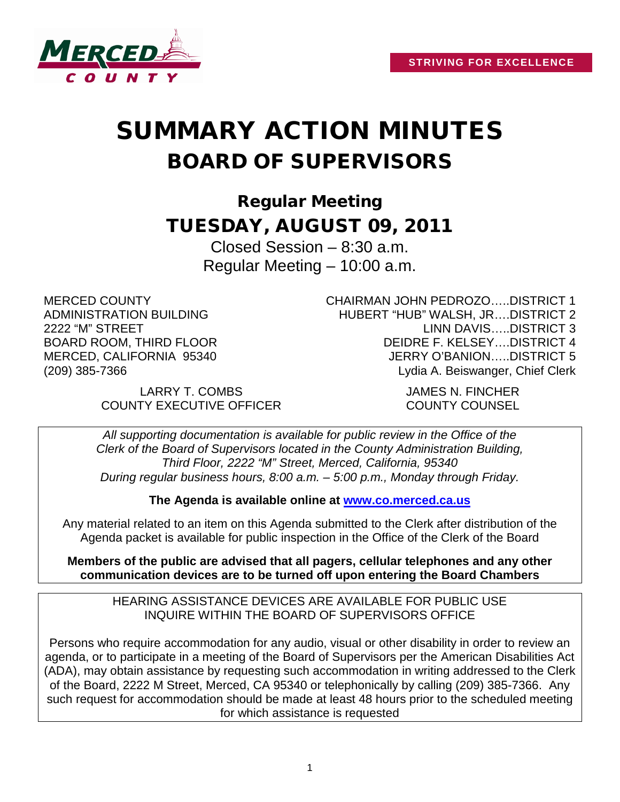

# SUMMARY ACTION MINUTES BOARD OF SUPERVISORS

Regular Meeting TUESDAY, AUGUST 09, 2011

> Closed Session – 8:30 a.m. Regular Meeting – 10:00 a.m.

MERCED COUNTY ADMINISTRATION BUILDING 2222 "M" STREET BOARD ROOM, THIRD FLOOR MERCED, CALIFORNIA 95340 (209) 385-7366

CHAIRMAN JOHN PEDROZO…..DISTRICT 1 HUBERT "HUB" WALSH, JR….DISTRICT 2 LINN DAVIS…..DISTRICT 3 DEIDRE F. KELSEY….DISTRICT 4 JERRY O'BANION…..DISTRICT 5 Lydia A. Beiswanger, Chief Clerk

LARRY T. COMBS JAMES N. FINCHER COUNTY EXECUTIVE OFFICER COUNTY COUNSEL

*All supporting documentation is available for public review in the Office of the Clerk of the Board of Supervisors located in the County Administration Building, Third Floor, 2222 "M" Street, Merced, California, 95340 During regular business hours, 8:00 a.m. – 5:00 p.m., Monday through Friday.*

**The Agenda is available online at [www.co.merced.ca.us](http://www.co.merced.ca.us/)**

Any material related to an item on this Agenda submitted to the Clerk after distribution of the Agenda packet is available for public inspection in the Office of the Clerk of the Board

**Members of the public are advised that all pagers, cellular telephones and any other communication devices are to be turned off upon entering the Board Chambers**

HEARING ASSISTANCE DEVICES ARE AVAILABLE FOR PUBLIC USE INQUIRE WITHIN THE BOARD OF SUPERVISORS OFFICE

Persons who require accommodation for any audio, visual or other disability in order to review an agenda, or to participate in a meeting of the Board of Supervisors per the American Disabilities Act (ADA), may obtain assistance by requesting such accommodation in writing addressed to the Clerk of the Board, 2222 M Street, Merced, CA 95340 or telephonically by calling (209) 385-7366. Any such request for accommodation should be made at least 48 hours prior to the scheduled meeting for which assistance is requested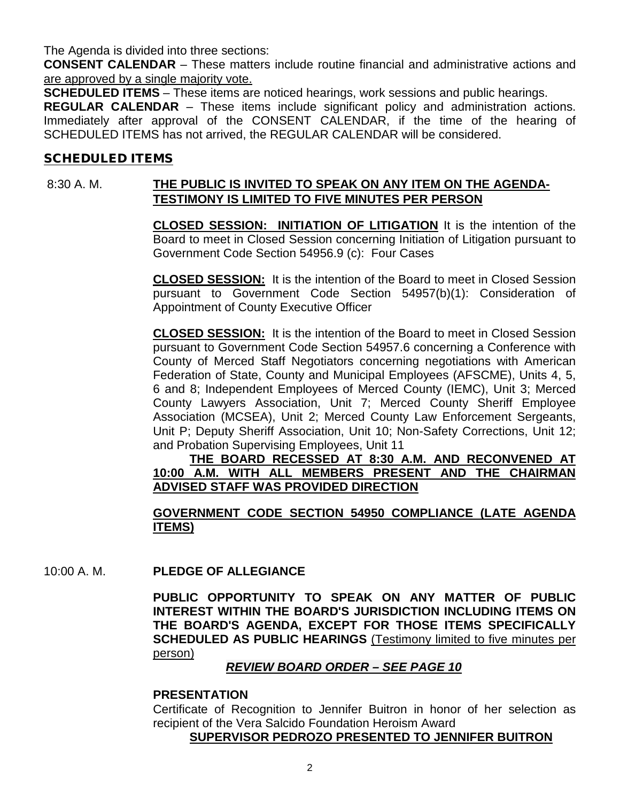The Agenda is divided into three sections:

**CONSENT CALENDAR** – These matters include routine financial and administrative actions and are approved by a single majority vote.

**SCHEDULED ITEMS** – These items are noticed hearings, work sessions and public hearings.

**REGULAR CALENDAR** – These items include significant policy and administration actions. Immediately after approval of the CONSENT CALENDAR, if the time of the hearing of SCHEDULED ITEMS has not arrived, the REGULAR CALENDAR will be considered.

## SCHEDULED ITEMS

# 8:30 A. M. **THE PUBLIC IS INVITED TO SPEAK ON ANY ITEM ON THE AGENDA-TESTIMONY IS LIMITED TO FIVE MINUTES PER PERSON**

**CLOSED SESSION: INITIATION OF LITIGATION** It is the intention of the Board to meet in Closed Session concerning Initiation of Litigation pursuant to Government Code Section 54956.9 (c): Four Cases

**CLOSED SESSION:** It is the intention of the Board to meet in Closed Session pursuant to Government Code Section 54957(b)(1): Consideration of Appointment of County Executive Officer

**CLOSED SESSION:** It is the intention of the Board to meet in Closed Session pursuant to Government Code Section 54957.6 concerning a Conference with County of Merced Staff Negotiators concerning negotiations with American Federation of State, County and Municipal Employees (AFSCME), Units 4, 5, 6 and 8; Independent Employees of Merced County (IEMC), Unit 3; Merced County Lawyers Association, Unit 7; Merced County Sheriff Employee Association (MCSEA), Unit 2; Merced County Law Enforcement Sergeants, Unit P; Deputy Sheriff Association, Unit 10; Non-Safety Corrections, Unit 12; and Probation Supervising Employees, Unit 11

**THE BOARD RECESSED AT 8:30 A.M. AND RECONVENED AT 10:00 A.M. WITH ALL MEMBERS PRESENT AND THE CHAIRMAN ADVISED STAFF WAS PROVIDED DIRECTION**

## **GOVERNMENT CODE SECTION 54950 COMPLIANCE (LATE AGENDA ITEMS)**

10:00 A. M. **PLEDGE OF ALLEGIANCE**

**PUBLIC OPPORTUNITY TO SPEAK ON ANY MATTER OF PUBLIC INTEREST WITHIN THE BOARD'S JURISDICTION INCLUDING ITEMS ON THE BOARD'S AGENDA, EXCEPT FOR THOSE ITEMS SPECIFICALLY SCHEDULED AS PUBLIC HEARINGS** (Testimony limited to five minutes per person)

## *REVIEW BOARD ORDER – SEE PAGE 10*

## **PRESENTATION**

Certificate of Recognition to Jennifer Buitron in honor of her selection as recipient of the Vera Salcido Foundation Heroism Award

#### **SUPERVISOR PEDROZO PRESENTED TO JENNIFER BUITRON**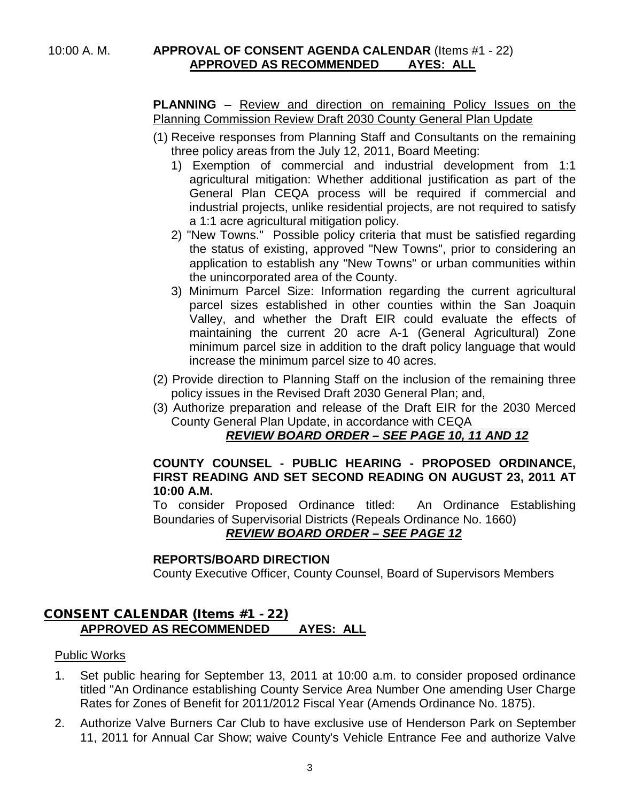#### 10:00 A. M. **APPROVAL OF CONSENT AGENDA CALENDAR** (Items #1 - 22) **APPROVED AS RECOMMENDED AYES: ALL**

**PLANNING** – Review and direction on remaining Policy Issues on the Planning Commission Review Draft 2030 County General Plan Update

- (1) Receive responses from Planning Staff and Consultants on the remaining three policy areas from the July 12, 2011, Board Meeting:
	- 1) Exemption of commercial and industrial development from 1:1 agricultural mitigation: Whether additional justification as part of the General Plan CEQA process will be required if commercial and industrial projects, unlike residential projects, are not required to satisfy a 1:1 acre agricultural mitigation policy.
	- 2) "New Towns." Possible policy criteria that must be satisfied regarding the status of existing, approved "New Towns", prior to considering an application to establish any "New Towns" or urban communities within the unincorporated area of the County.
	- 3) Minimum Parcel Size: Information regarding the current agricultural parcel sizes established in other counties within the San Joaquin Valley, and whether the Draft EIR could evaluate the effects of maintaining the current 20 acre A-1 (General Agricultural) Zone minimum parcel size in addition to the draft policy language that would increase the minimum parcel size to 40 acres.
- (2) Provide direction to Planning Staff on the inclusion of the remaining three policy issues in the Revised Draft 2030 General Plan; and,
- (3) Authorize preparation and release of the Draft EIR for the 2030 Merced County General Plan Update, in accordance with CEQA

## *REVIEW BOARD ORDER – SEE PAGE 10, 11 AND 12*

## **COUNTY COUNSEL - PUBLIC HEARING - PROPOSED ORDINANCE, FIRST READING AND SET SECOND READING ON AUGUST 23, 2011 AT 10:00 A.M.**

To consider Proposed Ordinance titled: An Ordinance Establishing Boundaries of Supervisorial Districts (Repeals Ordinance No. 1660)

## *REVIEW BOARD ORDER – SEE PAGE 12*

## **REPORTS/BOARD DIRECTION**

County Executive Officer, County Counsel, Board of Supervisors Members

## CONSENT CALENDAR (Items #1 - 22) **APPROVED AS RECOMMENDED AYES: ALL**

## Public Works

- 1. Set public hearing for September 13, 2011 at 10:00 a.m. to consider proposed ordinance titled "An Ordinance establishing County Service Area Number One amending User Charge Rates for Zones of Benefit for 2011/2012 Fiscal Year (Amends Ordinance No. 1875).
- 2. Authorize Valve Burners Car Club to have exclusive use of Henderson Park on September 11, 2011 for Annual Car Show; waive County's Vehicle Entrance Fee and authorize Valve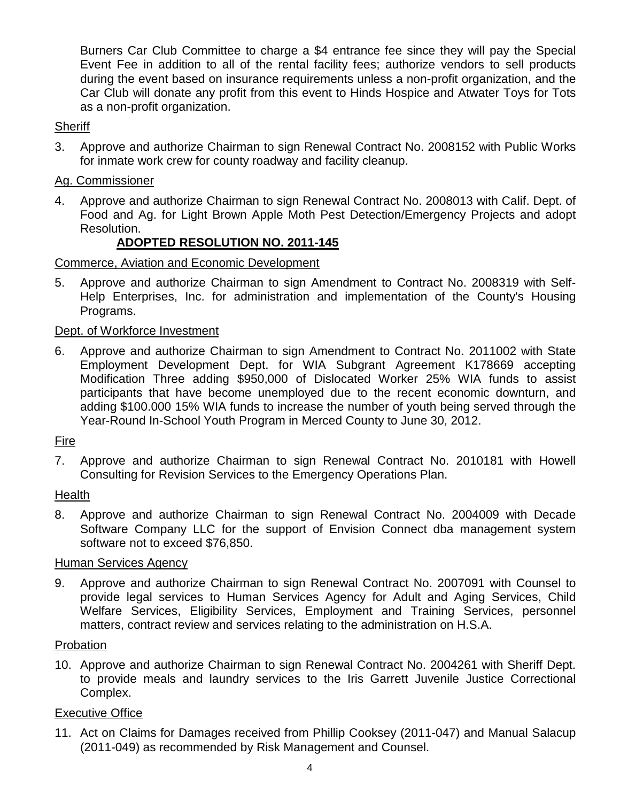Burners Car Club Committee to charge a \$4 entrance fee since they will pay the Special Event Fee in addition to all of the rental facility fees; authorize vendors to sell products during the event based on insurance requirements unless a non-profit organization, and the Car Club will donate any profit from this event to Hinds Hospice and Atwater Toys for Tots as a non-profit organization.

#### **Sheriff**

3. Approve and authorize Chairman to sign Renewal Contract No. 2008152 with Public Works for inmate work crew for county roadway and facility cleanup.

## Ag. Commissioner

4. Approve and authorize Chairman to sign Renewal Contract No. 2008013 with Calif. Dept. of Food and Ag. for Light Brown Apple Moth Pest Detection/Emergency Projects and adopt Resolution.

## **ADOPTED RESOLUTION NO. 2011-145**

## Commerce, Aviation and Economic Development

5. Approve and authorize Chairman to sign Amendment to Contract No. 2008319 with Self-Help Enterprises, Inc. for administration and implementation of the County's Housing Programs.

## Dept. of Workforce Investment

6. Approve and authorize Chairman to sign Amendment to Contract No. 2011002 with State Employment Development Dept. for WIA Subgrant Agreement K178669 accepting Modification Three adding \$950,000 of Dislocated Worker 25% WIA funds to assist participants that have become unemployed due to the recent economic downturn, and adding \$100.000 15% WIA funds to increase the number of youth being served through the Year-Round In-School Youth Program in Merced County to June 30, 2012.

## Fire

7. Approve and authorize Chairman to sign Renewal Contract No. 2010181 with Howell Consulting for Revision Services to the Emergency Operations Plan.

## Health

8. Approve and authorize Chairman to sign Renewal Contract No. 2004009 with Decade Software Company LLC for the support of Envision Connect dba management system software not to exceed \$76,850.

## Human Services Agency

9. Approve and authorize Chairman to sign Renewal Contract No. 2007091 with Counsel to provide legal services to Human Services Agency for Adult and Aging Services, Child Welfare Services, Eligibility Services, Employment and Training Services, personnel matters, contract review and services relating to the administration on H.S.A.

#### Probation

10. Approve and authorize Chairman to sign Renewal Contract No. 2004261 with Sheriff Dept. to provide meals and laundry services to the Iris Garrett Juvenile Justice Correctional Complex.

## Executive Office

11. Act on Claims for Damages received from Phillip Cooksey (2011-047) and Manual Salacup (2011-049) as recommended by Risk Management and Counsel.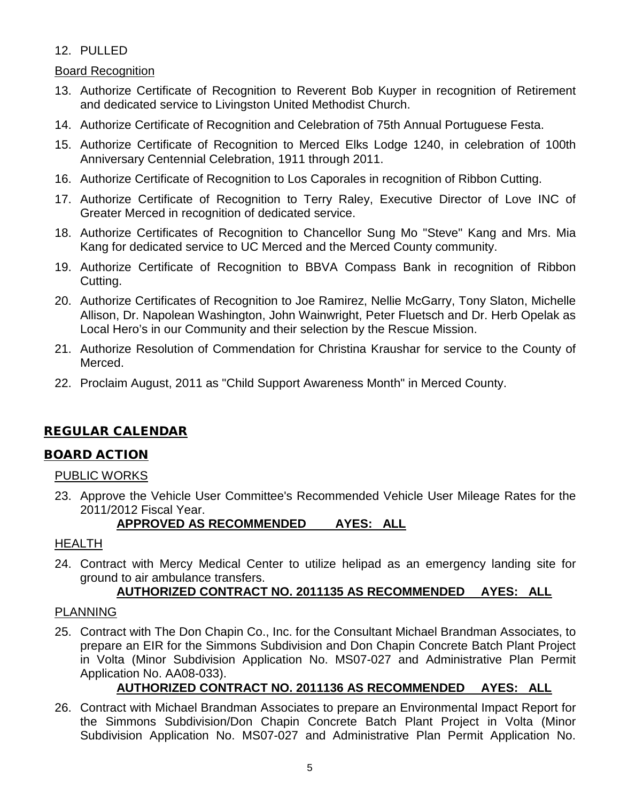## 12. PULLED

## Board Recognition

- 13. Authorize Certificate of Recognition to Reverent Bob Kuyper in recognition of Retirement and dedicated service to Livingston United Methodist Church.
- 14. Authorize Certificate of Recognition and Celebration of 75th Annual Portuguese Festa.
- 15. Authorize Certificate of Recognition to Merced Elks Lodge 1240, in celebration of 100th Anniversary Centennial Celebration, 1911 through 2011.
- 16. Authorize Certificate of Recognition to Los Caporales in recognition of Ribbon Cutting.
- 17. Authorize Certificate of Recognition to Terry Raley, Executive Director of Love INC of Greater Merced in recognition of dedicated service.
- 18. Authorize Certificates of Recognition to Chancellor Sung Mo "Steve" Kang and Mrs. Mia Kang for dedicated service to UC Merced and the Merced County community.
- 19. Authorize Certificate of Recognition to BBVA Compass Bank in recognition of Ribbon Cutting.
- 20. Authorize Certificates of Recognition to Joe Ramirez, Nellie McGarry, Tony Slaton, Michelle Allison, Dr. Napolean Washington, John Wainwright, Peter Fluetsch and Dr. Herb Opelak as Local Hero's in our Community and their selection by the Rescue Mission.
- 21. Authorize Resolution of Commendation for Christina Kraushar for service to the County of Merced.
- 22. Proclaim August, 2011 as "Child Support Awareness Month" in Merced County.

# REGULAR CALENDAR

## BOARD ACTION

## PUBLIC WORKS

23. Approve the Vehicle User Committee's Recommended Vehicle User Mileage Rates for the 2011/2012 Fiscal Year.

## **APPROVED AS RECOMMENDED AYES: ALL**

## HEALTH

24. Contract with Mercy Medical Center to utilize helipad as an emergency landing site for ground to air ambulance transfers.

## **AUTHORIZED CONTRACT NO. 2011135 AS RECOMMENDED AYES: ALL**

## PLANNING

25. Contract with The Don Chapin Co., Inc. for the Consultant Michael Brandman Associates, to prepare an EIR for the Simmons Subdivision and Don Chapin Concrete Batch Plant Project in Volta (Minor Subdivision Application No. MS07-027 and Administrative Plan Permit Application No. AA08-033).

# **AUTHORIZED CONTRACT NO. 2011136 AS RECOMMENDED AYES: ALL**

26. Contract with Michael Brandman Associates to prepare an Environmental Impact Report for the Simmons Subdivision/Don Chapin Concrete Batch Plant Project in Volta (Minor Subdivision Application No. MS07-027 and Administrative Plan Permit Application No.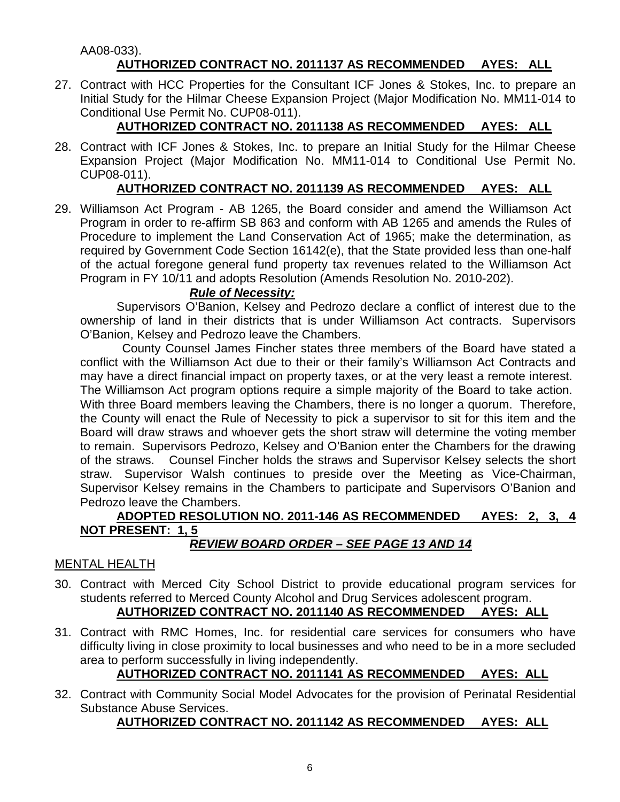#### AA08-033). **AUTHORIZED CONTRACT NO. 2011137 AS RECOMMENDED AYES: ALL**

27. Contract with HCC Properties for the Consultant ICF Jones & Stokes, Inc. to prepare an Initial Study for the Hilmar Cheese Expansion Project (Major Modification No. MM11-014 to Conditional Use Permit No. CUP08-011).

# **AUTHORIZED CONTRACT NO. 2011138 AS RECOMMENDED AYES: ALL**

28. Contract with ICF Jones & Stokes, Inc. to prepare an Initial Study for the Hilmar Cheese Expansion Project (Major Modification No. MM11-014 to Conditional Use Permit No. CUP08-011).

# **AUTHORIZED CONTRACT NO. 2011139 AS RECOMMENDED AYES: ALL**

29. Williamson Act Program - AB 1265, the Board consider and amend the Williamson Act Program in order to re-affirm SB 863 and conform with AB 1265 and amends the Rules of Procedure to implement the Land Conservation Act of 1965; make the determination, as required by Government Code Section 16142(e), that the State provided less than one-half of the actual foregone general fund property tax revenues related to the Williamson Act Program in FY 10/11 and adopts Resolution (Amends Resolution No. 2010-202).

## *Rule of Necessity:*

Supervisors O'Banion, Kelsey and Pedrozo declare a conflict of interest due to the ownership of land in their districts that is under Williamson Act contracts. Supervisors O'Banion, Kelsey and Pedrozo leave the Chambers.

 County Counsel James Fincher states three members of the Board have stated a conflict with the Williamson Act due to their or their family's Williamson Act Contracts and may have a direct financial impact on property taxes, or at the very least a remote interest. The Williamson Act program options require a simple majority of the Board to take action. With three Board members leaving the Chambers, there is no longer a quorum. Therefore, the County will enact the Rule of Necessity to pick a supervisor to sit for this item and the Board will draw straws and whoever gets the short straw will determine the voting member to remain. Supervisors Pedrozo, Kelsey and O'Banion enter the Chambers for the drawing

of the straws. Counsel Fincher holds the straws and Supervisor Kelsey selects the short straw. Supervisor Walsh continues to preside over the Meeting as Vice-Chairman, Supervisor Kelsey remains in the Chambers to participate and Supervisors O'Banion and Pedrozo leave the Chambers.

# **ADOPTED RESOLUTION NO. 2011-146 AS RECOMMENDED AYES: 2, 3, 4 NOT PRESENT: 1, 5**

# *REVIEW BOARD ORDER – SEE PAGE 13 AND 14*

## MENTAL HEALTH

- 30. Contract with Merced City School District to provide educational program services for students referred to Merced County Alcohol and Drug Services adolescent program. **AUTHORIZED CONTRACT NO. 2011140 AS RECOMMENDED AYES: ALL**
- 31. Contract with RMC Homes, Inc. for residential care services for consumers who have difficulty living in close proximity to local businesses and who need to be in a more secluded area to perform successfully in living independently.

# **AUTHORIZED CONTRACT NO. 2011141 AS RECOMMENDED AYES: ALL**

32. Contract with Community Social Model Advocates for the provision of Perinatal Residential Substance Abuse Services.

## **AUTHORIZED CONTRACT NO. 2011142 AS RECOMMENDED AYES: ALL**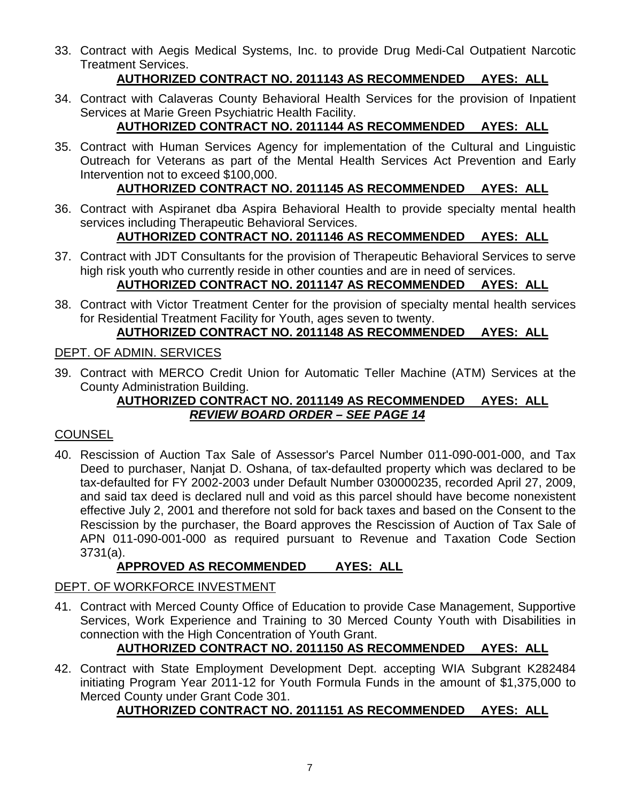33. Contract with Aegis Medical Systems, Inc. to provide Drug Medi-Cal Outpatient Narcotic Treatment Services.

# **AUTHORIZED CONTRACT NO. 2011143 AS RECOMMENDED AYES: ALL**

34. Contract with Calaveras County Behavioral Health Services for the provision of Inpatient Services at Marie Green Psychiatric Health Facility.

# **AUTHORIZED CONTRACT NO. 2011144 AS RECOMMENDED AYES: ALL**

35. Contract with Human Services Agency for implementation of the Cultural and Linguistic Outreach for Veterans as part of the Mental Health Services Act Prevention and Early Intervention not to exceed \$100,000.

# **AUTHORIZED CONTRACT NO. 2011145 AS RECOMMENDED AYES: ALL**

36. Contract with Aspiranet dba Aspira Behavioral Health to provide specialty mental health services including Therapeutic Behavioral Services.

# **AUTHORIZED CONTRACT NO. 2011146 AS RECOMMENDED AYES: ALL**

- 37. Contract with JDT Consultants for the provision of Therapeutic Behavioral Services to serve high risk youth who currently reside in other counties and are in need of services. **AUTHORIZED CONTRACT NO. 2011147 AS RECOMMENDED AYES: ALL**
- 38. Contract with Victor Treatment Center for the provision of specialty mental health services for Residential Treatment Facility for Youth, ages seven to twenty.

# **AUTHORIZED CONTRACT NO. 2011148 AS RECOMMENDED AYES: ALL**

# DEPT. OF ADMIN. SERVICES

39. Contract with MERCO Credit Union for Automatic Teller Machine (ATM) Services at the County Administration Building.

# **AUTHORIZED CONTRACT NO. 2011149 AS RECOMMENDED AYES: ALL** *REVIEW BOARD ORDER – SEE PAGE 14*

## **COUNSEL**

40. Rescission of Auction Tax Sale of Assessor's Parcel Number 011-090-001-000, and Tax Deed to purchaser, Nanjat D. Oshana, of tax-defaulted property which was declared to be tax-defaulted for FY 2002-2003 under Default Number 030000235, recorded April 27, 2009, and said tax deed is declared null and void as this parcel should have become nonexistent effective July 2, 2001 and therefore not sold for back taxes and based on the Consent to the Rescission by the purchaser, the Board approves the Rescission of Auction of Tax Sale of APN 011-090-001-000 as required pursuant to Revenue and Taxation Code Section 3731(a).

# **APPROVED AS RECOMMENDED AYES: ALL**

# DEPT. OF WORKFORCE INVESTMENT

41. Contract with Merced County Office of Education to provide Case Management, Supportive Services, Work Experience and Training to 30 Merced County Youth with Disabilities in connection with the High Concentration of Youth Grant.

# **AUTHORIZED CONTRACT NO. 2011150 AS RECOMMENDED AYES: ALL**

42. Contract with State Employment Development Dept. accepting WIA Subgrant K282484 initiating Program Year 2011-12 for Youth Formula Funds in the amount of \$1,375,000 to Merced County under Grant Code 301.

# **AUTHORIZED CONTRACT NO. 2011151 AS RECOMMENDED AYES: ALL**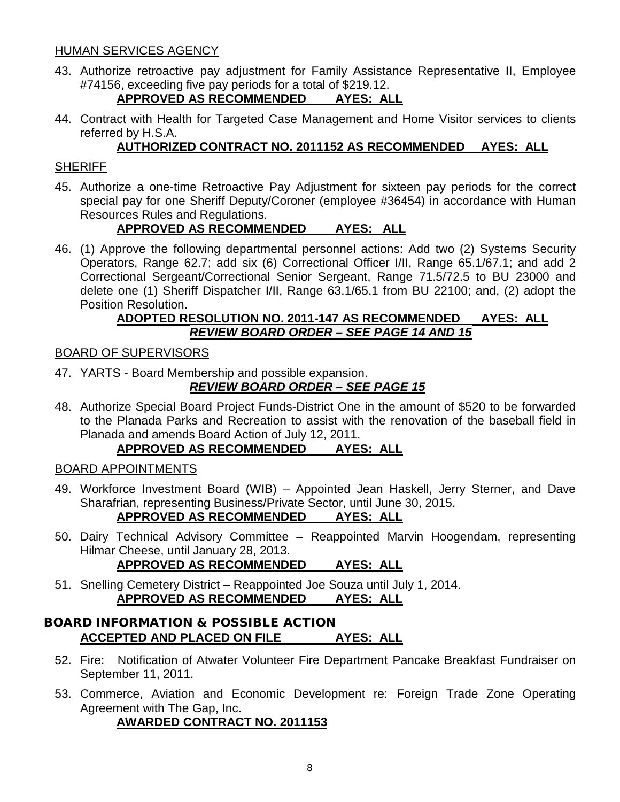## HUMAN SERVICES AGENCY

43. Authorize retroactive pay adjustment for Family Assistance Representative II, Employee #74156, exceeding five pay periods for a total of \$219.12.

# **APPROVED AS RECOMMENDED AYES: ALL**

44. Contract with Health for Targeted Case Management and Home Visitor services to clients referred by H.S.A.

# **AUTHORIZED CONTRACT NO. 2011152 AS RECOMMENDED AYES: ALL**

## **SHERIFF**

45. Authorize a one-time Retroactive Pay Adjustment for sixteen pay periods for the correct special pay for one Sheriff Deputy/Coroner (employee #36454) in accordance with Human Resources Rules and Regulations.

# **APPROVED AS RECOMMENDED AYES: ALL**

46. (1) Approve the following departmental personnel actions: Add two (2) Systems Security Operators, Range 62.7; add six (6) Correctional Officer I/II, Range 65.1/67.1; and add 2 Correctional Sergeant/Correctional Senior Sergeant, Range 71.5/72.5 to BU 23000 and delete one (1) Sheriff Dispatcher I/II, Range 63.1/65.1 from BU 22100; and, (2) adopt the Position Resolution.

## **ADOPTED RESOLUTION NO. 2011-147 AS RECOMMENDED AYES: ALL** *REVIEW BOARD ORDER – SEE PAGE 14 AND 15*

## BOARD OF SUPERVISORS

47. YARTS - Board Membership and possible expansion.

# *REVIEW BOARD ORDER – SEE PAGE 15*

48. Authorize Special Board Project Funds-District One in the amount of \$520 to be forwarded to the Planada Parks and Recreation to assist with the renovation of the baseball field in Planada and amends Board Action of July 12, 2011.

## **APPROVED AS RECOMMENDED AYES: ALL**

## BOARD APPOINTMENTS

- 49. Workforce Investment Board (WIB) Appointed Jean Haskell, Jerry Sterner, and Dave Sharafrian, representing Business/Private Sector, until June 30, 2015. **APPROVED AS RECOMMENDED AYES: ALL**
- 50. Dairy Technical Advisory Committee Reappointed Marvin Hoogendam, representing Hilmar Cheese, until January 28, 2013.

# **APPROVED AS RECOMMENDED AYES: ALL**

51. Snelling Cemetery District – Reappointed Joe Souza until July 1, 2014. **APPROVED AS RECOMMENDED AYES: ALL**

## BOARD INFORMATION & POSSIBLE ACTION **ACCEPTED AND PLACED ON FILE AYES: ALL**

- 52. Fire: Notification of Atwater Volunteer Fire Department Pancake Breakfast Fundraiser on September 11, 2011.
- 53. Commerce, Aviation and Economic Development re: Foreign Trade Zone Operating Agreement with The Gap, Inc.

**AWARDED CONTRACT NO. 2011153**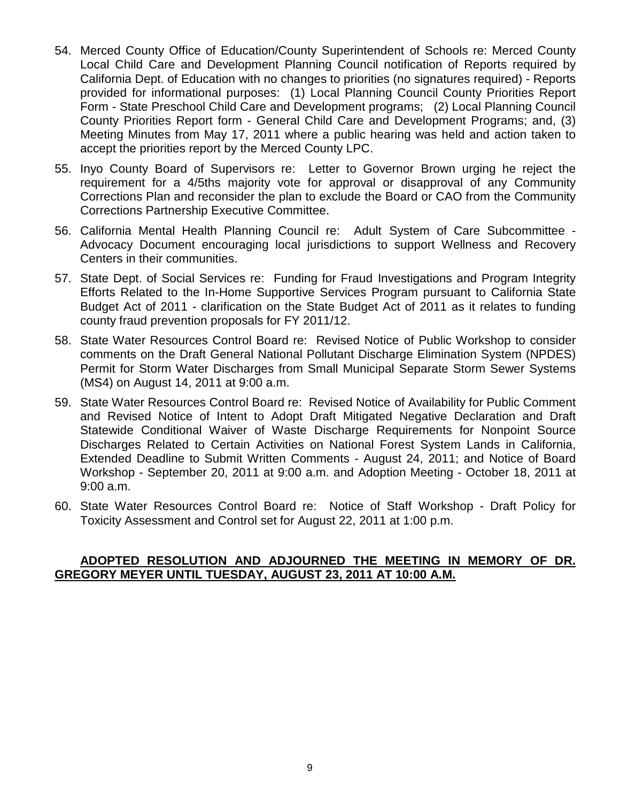- 54. Merced County Office of Education/County Superintendent of Schools re: Merced County Local Child Care and Development Planning Council notification of Reports required by California Dept. of Education with no changes to priorities (no signatures required) - Reports provided for informational purposes: (1) Local Planning Council County Priorities Report Form - State Preschool Child Care and Development programs; (2) Local Planning Council County Priorities Report form - General Child Care and Development Programs; and, (3) Meeting Minutes from May 17, 2011 where a public hearing was held and action taken to accept the priorities report by the Merced County LPC.
- 55. Inyo County Board of Supervisors re: Letter to Governor Brown urging he reject the requirement for a 4/5ths majority vote for approval or disapproval of any Community Corrections Plan and reconsider the plan to exclude the Board or CAO from the Community Corrections Partnership Executive Committee.
- 56. California Mental Health Planning Council re: Adult System of Care Subcommittee Advocacy Document encouraging local jurisdictions to support Wellness and Recovery Centers in their communities.
- 57. State Dept. of Social Services re: Funding for Fraud Investigations and Program Integrity Efforts Related to the In-Home Supportive Services Program pursuant to California State Budget Act of 2011 - clarification on the State Budget Act of 2011 as it relates to funding county fraud prevention proposals for FY 2011/12.
- 58. State Water Resources Control Board re: Revised Notice of Public Workshop to consider comments on the Draft General National Pollutant Discharge Elimination System (NPDES) Permit for Storm Water Discharges from Small Municipal Separate Storm Sewer Systems (MS4) on August 14, 2011 at 9:00 a.m.
- 59. State Water Resources Control Board re: Revised Notice of Availability for Public Comment and Revised Notice of Intent to Adopt Draft Mitigated Negative Declaration and Draft Statewide Conditional Waiver of Waste Discharge Requirements for Nonpoint Source Discharges Related to Certain Activities on National Forest System Lands in California, Extended Deadline to Submit Written Comments - August 24, 2011; and Notice of Board Workshop - September 20, 2011 at 9:00 a.m. and Adoption Meeting - October 18, 2011 at 9:00 a.m.
- 60. State Water Resources Control Board re: Notice of Staff Workshop Draft Policy for Toxicity Assessment and Control set for August 22, 2011 at 1:00 p.m.

## **ADOPTED RESOLUTION AND ADJOURNED THE MEETING IN MEMORY OF DR. GREGORY MEYER UNTIL TUESDAY, AUGUST 23, 2011 AT 10:00 A.M.**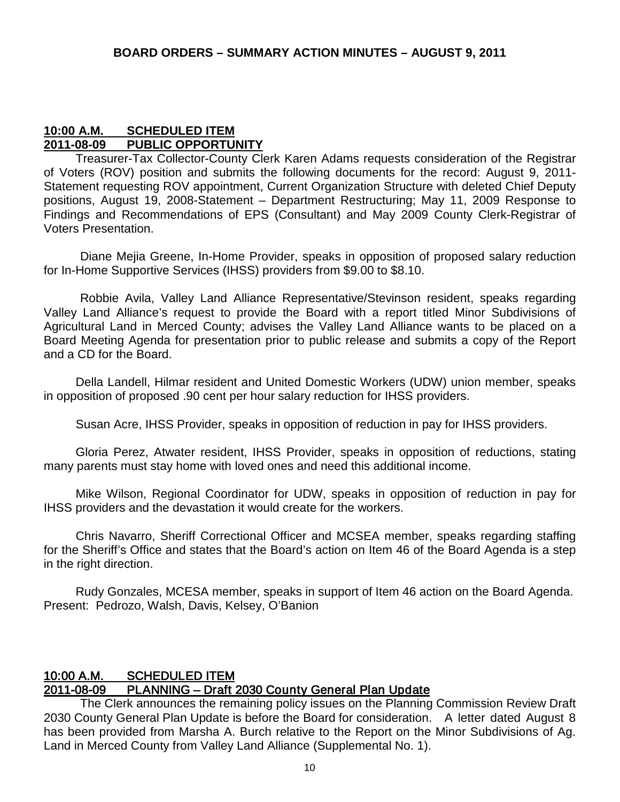## **10:00 A.M. SCHEDULED ITEM 2011-08-09 PUBLIC OPPORTUNITY**

Treasurer-Tax Collector-County Clerk Karen Adams requests consideration of the Registrar of Voters (ROV) position and submits the following documents for the record: August 9, 2011- Statement requesting ROV appointment, Current Organization Structure with deleted Chief Deputy positions, August 19, 2008-Statement – Department Restructuring; May 11, 2009 Response to Findings and Recommendations of EPS (Consultant) and May 2009 County Clerk-Registrar of Voters Presentation.

Diane Mejia Greene, In-Home Provider, speaks in opposition of proposed salary reduction for In-Home Supportive Services (IHSS) providers from \$9.00 to \$8.10.

Robbie Avila, Valley Land Alliance Representative/Stevinson resident, speaks regarding Valley Land Alliance's request to provide the Board with a report titled Minor Subdivisions of Agricultural Land in Merced County; advises the Valley Land Alliance wants to be placed on a Board Meeting Agenda for presentation prior to public release and submits a copy of the Report and a CD for the Board.

Della Landell, Hilmar resident and United Domestic Workers (UDW) union member, speaks in opposition of proposed .90 cent per hour salary reduction for IHSS providers.

Susan Acre, IHSS Provider, speaks in opposition of reduction in pay for IHSS providers.

Gloria Perez, Atwater resident, IHSS Provider, speaks in opposition of reductions, stating many parents must stay home with loved ones and need this additional income.

Mike Wilson, Regional Coordinator for UDW, speaks in opposition of reduction in pay for IHSS providers and the devastation it would create for the workers.

Chris Navarro, Sheriff Correctional Officer and MCSEA member, speaks regarding staffing for the Sheriff's Office and states that the Board's action on Item 46 of the Board Agenda is a step in the right direction.

Rudy Gonzales, MCESA member, speaks in support of Item 46 action on the Board Agenda. Present: Pedrozo, Walsh, Davis, Kelsey, O'Banion

## 10:00 A.M. SCHEDULED ITEM 2011-08-09 PLANNING – Draft 2030 County General Plan Update

 The Clerk announces the remaining policy issues on the Planning Commission Review Draft 2030 County General Plan Update is before the Board for consideration. A letter dated August 8 has been provided from Marsha A. Burch relative to the Report on the Minor Subdivisions of Ag. Land in Merced County from Valley Land Alliance (Supplemental No. 1).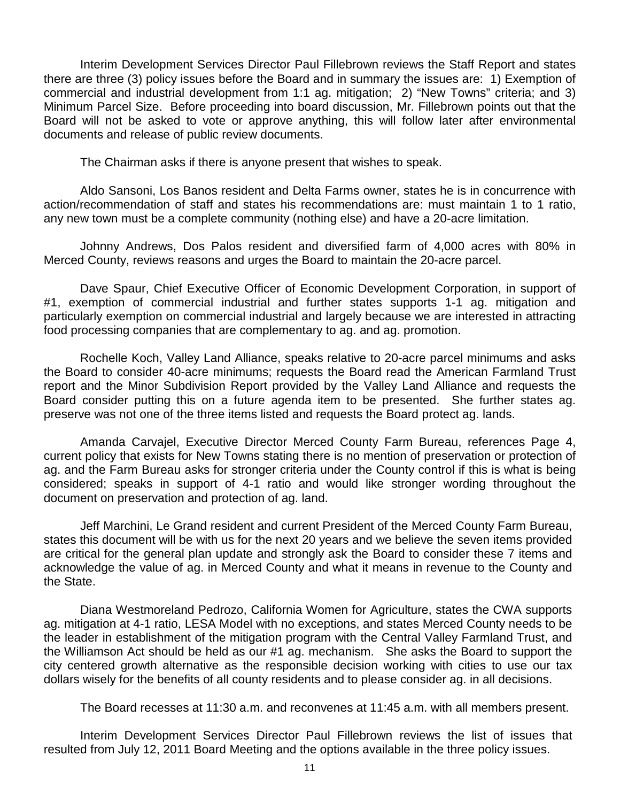Interim Development Services Director Paul Fillebrown reviews the Staff Report and states there are three (3) policy issues before the Board and in summary the issues are: 1) Exemption of commercial and industrial development from 1:1 ag. mitigation; 2) "New Towns" criteria; and 3) Minimum Parcel Size. Before proceeding into board discussion, Mr. Fillebrown points out that the Board will not be asked to vote or approve anything, this will follow later after environmental documents and release of public review documents.

The Chairman asks if there is anyone present that wishes to speak.

Aldo Sansoni, Los Banos resident and Delta Farms owner, states he is in concurrence with action/recommendation of staff and states his recommendations are: must maintain 1 to 1 ratio, any new town must be a complete community (nothing else) and have a 20-acre limitation.

Johnny Andrews, Dos Palos resident and diversified farm of 4,000 acres with 80% in Merced County, reviews reasons and urges the Board to maintain the 20-acre parcel.

Dave Spaur, Chief Executive Officer of Economic Development Corporation, in support of #1, exemption of commercial industrial and further states supports 1-1 ag. mitigation and particularly exemption on commercial industrial and largely because we are interested in attracting food processing companies that are complementary to ag. and ag. promotion.

Rochelle Koch, Valley Land Alliance, speaks relative to 20-acre parcel minimums and asks the Board to consider 40-acre minimums; requests the Board read the American Farmland Trust report and the Minor Subdivision Report provided by the Valley Land Alliance and requests the Board consider putting this on a future agenda item to be presented. She further states ag. preserve was not one of the three items listed and requests the Board protect ag. lands.

Amanda Carvajel, Executive Director Merced County Farm Bureau, references Page 4, current policy that exists for New Towns stating there is no mention of preservation or protection of ag. and the Farm Bureau asks for stronger criteria under the County control if this is what is being considered; speaks in support of 4-1 ratio and would like stronger wording throughout the document on preservation and protection of ag. land.

Jeff Marchini, Le Grand resident and current President of the Merced County Farm Bureau, states this document will be with us for the next 20 years and we believe the seven items provided are critical for the general plan update and strongly ask the Board to consider these 7 items and acknowledge the value of ag. in Merced County and what it means in revenue to the County and the State.

Diana Westmoreland Pedrozo, California Women for Agriculture, states the CWA supports ag. mitigation at 4-1 ratio, LESA Model with no exceptions, and states Merced County needs to be the leader in establishment of the mitigation program with the Central Valley Farmland Trust, and the Williamson Act should be held as our #1 ag. mechanism. She asks the Board to support the city centered growth alternative as the responsible decision working with cities to use our tax dollars wisely for the benefits of all county residents and to please consider ag. in all decisions.

The Board recesses at 11:30 a.m. and reconvenes at 11:45 a.m. with all members present.

Interim Development Services Director Paul Fillebrown reviews the list of issues that resulted from July 12, 2011 Board Meeting and the options available in the three policy issues.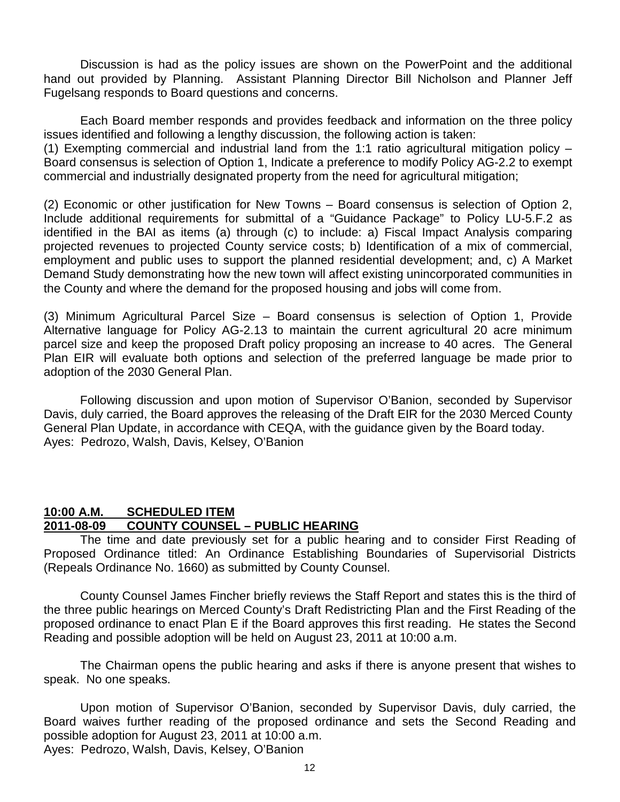Discussion is had as the policy issues are shown on the PowerPoint and the additional hand out provided by Planning. Assistant Planning Director Bill Nicholson and Planner Jeff Fugelsang responds to Board questions and concerns.

Each Board member responds and provides feedback and information on the three policy issues identified and following a lengthy discussion, the following action is taken:

(1) Exempting commercial and industrial land from the 1:1 ratio agricultural mitigation policy – Board consensus is selection of Option 1, Indicate a preference to modify Policy AG-2.2 to exempt commercial and industrially designated property from the need for agricultural mitigation;

(2) Economic or other justification for New Towns – Board consensus is selection of Option 2, Include additional requirements for submittal of a "Guidance Package" to Policy LU-5.F.2 as identified in the BAI as items (a) through (c) to include: a) Fiscal Impact Analysis comparing projected revenues to projected County service costs; b) Identification of a mix of commercial, employment and public uses to support the planned residential development; and, c) A Market Demand Study demonstrating how the new town will affect existing unincorporated communities in the County and where the demand for the proposed housing and jobs will come from.

(3) Minimum Agricultural Parcel Size – Board consensus is selection of Option 1, Provide Alternative language for Policy AG-2.13 to maintain the current agricultural 20 acre minimum parcel size and keep the proposed Draft policy proposing an increase to 40 acres. The General Plan EIR will evaluate both options and selection of the preferred language be made prior to adoption of the 2030 General Plan.

Following discussion and upon motion of Supervisor O'Banion, seconded by Supervisor Davis, duly carried, the Board approves the releasing of the Draft EIR for the 2030 Merced County General Plan Update, in accordance with CEQA, with the guidance given by the Board today. Ayes: Pedrozo, Walsh, Davis, Kelsey, O'Banion

#### **10:00 A.M. SCHEDULED ITEM 2011-08-09 COUNTY COUNSEL – PUBLIC HEARING**

The time and date previously set for a public hearing and to consider First Reading of Proposed Ordinance titled: An Ordinance Establishing Boundaries of Supervisorial Districts (Repeals Ordinance No. 1660) as submitted by County Counsel.

County Counsel James Fincher briefly reviews the Staff Report and states this is the third of the three public hearings on Merced County's Draft Redistricting Plan and the First Reading of the proposed ordinance to enact Plan E if the Board approves this first reading. He states the Second Reading and possible adoption will be held on August 23, 2011 at 10:00 a.m.

The Chairman opens the public hearing and asks if there is anyone present that wishes to speak. No one speaks.

Upon motion of Supervisor O'Banion, seconded by Supervisor Davis, duly carried, the Board waives further reading of the proposed ordinance and sets the Second Reading and possible adoption for August 23, 2011 at 10:00 a.m. Ayes: Pedrozo, Walsh, Davis, Kelsey, O'Banion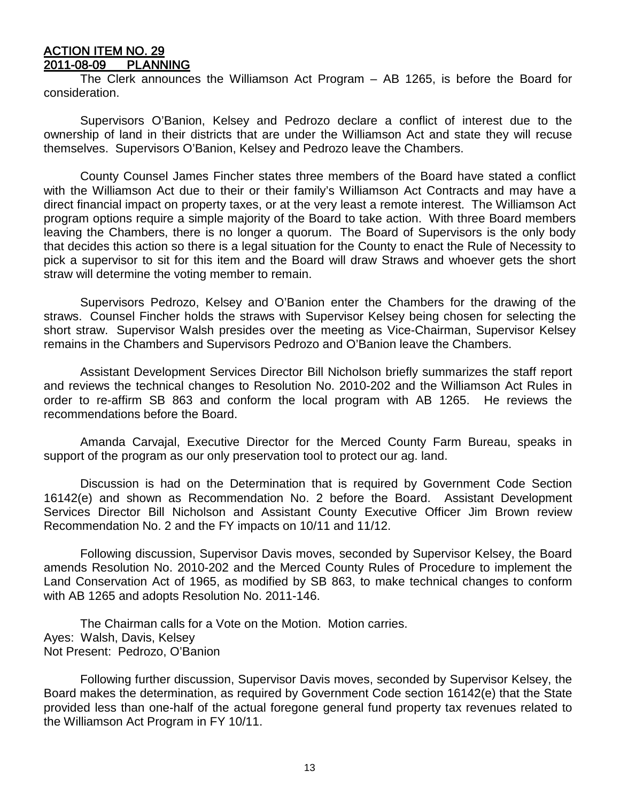#### ACTION ITEM NO. 29 2011-08-09 PLANNING

 The Clerk announces the Williamson Act Program – AB 1265, is before the Board for consideration.

Supervisors O'Banion, Kelsey and Pedrozo declare a conflict of interest due to the ownership of land in their districts that are under the Williamson Act and state they will recuse themselves. Supervisors O'Banion, Kelsey and Pedrozo leave the Chambers.

County Counsel James Fincher states three members of the Board have stated a conflict with the Williamson Act due to their or their family's Williamson Act Contracts and may have a direct financial impact on property taxes, or at the very least a remote interest. The Williamson Act program options require a simple majority of the Board to take action. With three Board members leaving the Chambers, there is no longer a quorum. The Board of Supervisors is the only body that decides this action so there is a legal situation for the County to enact the Rule of Necessity to pick a supervisor to sit for this item and the Board will draw Straws and whoever gets the short straw will determine the voting member to remain.

Supervisors Pedrozo, Kelsey and O'Banion enter the Chambers for the drawing of the straws. Counsel Fincher holds the straws with Supervisor Kelsey being chosen for selecting the short straw. Supervisor Walsh presides over the meeting as Vice-Chairman, Supervisor Kelsey remains in the Chambers and Supervisors Pedrozo and O'Banion leave the Chambers.

Assistant Development Services Director Bill Nicholson briefly summarizes the staff report and reviews the technical changes to Resolution No. 2010-202 and the Williamson Act Rules in order to re-affirm SB 863 and conform the local program with AB 1265. He reviews the recommendations before the Board.

Amanda Carvajal, Executive Director for the Merced County Farm Bureau, speaks in support of the program as our only preservation tool to protect our ag. land.

Discussion is had on the Determination that is required by Government Code Section 16142(e) and shown as Recommendation No. 2 before the Board. Assistant Development Services Director Bill Nicholson and Assistant County Executive Officer Jim Brown review Recommendation No. 2 and the FY impacts on 10/11 and 11/12.

Following discussion, Supervisor Davis moves, seconded by Supervisor Kelsey, the Board amends Resolution No. 2010-202 and the Merced County Rules of Procedure to implement the Land Conservation Act of 1965, as modified by SB 863, to make technical changes to conform with AB 1265 and adopts Resolution No. 2011-146.

The Chairman calls for a Vote on the Motion. Motion carries. Ayes: Walsh, Davis, Kelsey Not Present: Pedrozo, O'Banion

Following further discussion, Supervisor Davis moves, seconded by Supervisor Kelsey, the Board makes the determination, as required by Government Code section 16142(e) that the State provided less than one-half of the actual foregone general fund property tax revenues related to the Williamson Act Program in FY 10/11.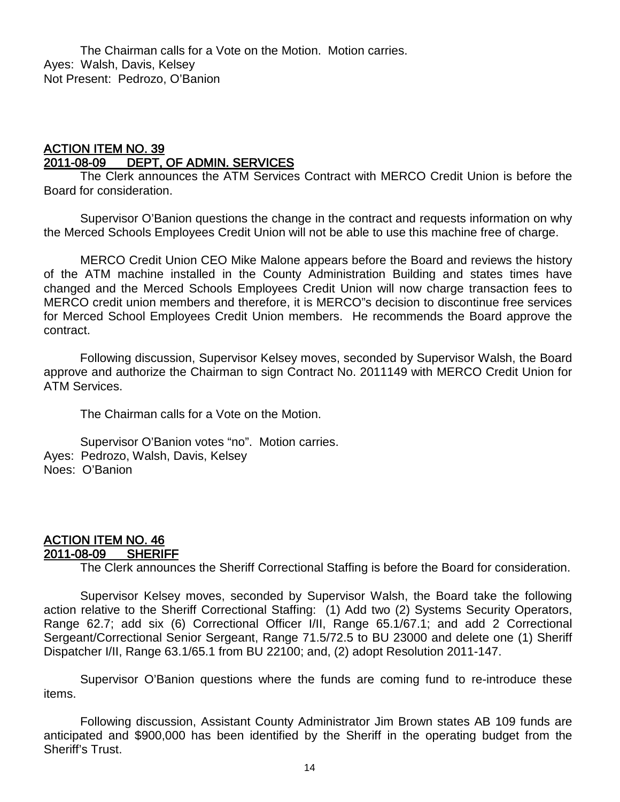The Chairman calls for a Vote on the Motion. Motion carries. Ayes: Walsh, Davis, Kelsey Not Present: Pedrozo, O'Banion

## <u>ACTION ITEM NO. 39</u><br>2011-08-09 DEPT. ( DEPT, OF ADMIN. SERVICES

 The Clerk announces the ATM Services Contract with MERCO Credit Union is before the Board for consideration.

Supervisor O'Banion questions the change in the contract and requests information on why the Merced Schools Employees Credit Union will not be able to use this machine free of charge.

MERCO Credit Union CEO Mike Malone appears before the Board and reviews the history of the ATM machine installed in the County Administration Building and states times have changed and the Merced Schools Employees Credit Union will now charge transaction fees to MERCO credit union members and therefore, it is MERCO"s decision to discontinue free services for Merced School Employees Credit Union members. He recommends the Board approve the contract.

Following discussion, Supervisor Kelsey moves, seconded by Supervisor Walsh, the Board approve and authorize the Chairman to sign Contract No. 2011149 with MERCO Credit Union for ATM Services.

The Chairman calls for a Vote on the Motion.

Supervisor O'Banion votes "no". Motion carries. Ayes: Pedrozo, Walsh, Davis, Kelsey Noes: O'Banion

## ACTION ITEM NO. 46 2011-08-09 SHERIFF

The Clerk announces the Sheriff Correctional Staffing is before the Board for consideration.

Supervisor Kelsey moves, seconded by Supervisor Walsh, the Board take the following action relative to the Sheriff Correctional Staffing: (1) Add two (2) Systems Security Operators, Range 62.7; add six (6) Correctional Officer I/II, Range 65.1/67.1; and add 2 Correctional Sergeant/Correctional Senior Sergeant, Range 71.5/72.5 to BU 23000 and delete one (1) Sheriff Dispatcher I/II, Range 63.1/65.1 from BU 22100; and, (2) adopt Resolution 2011-147.

Supervisor O'Banion questions where the funds are coming fund to re-introduce these items.

Following discussion, Assistant County Administrator Jim Brown states AB 109 funds are anticipated and \$900,000 has been identified by the Sheriff in the operating budget from the Sheriff's Trust.